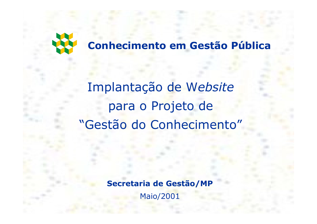

Implantação de Website para o Projeto de "Gestão do Conhecimento"

Secretaria de Gestão/MP

**Maio/2001**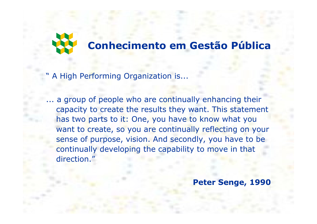

A High Performing Organization is...

... a group of people who are continually enhancing their capacity to create the results they want. This statement has two parts to it: One, you have to know what you want to create, so you are continually reflecting on your sense of purpose, vision. And secondly, you have to be continually developing the capability to move in that direction."

Peter Senge, 1990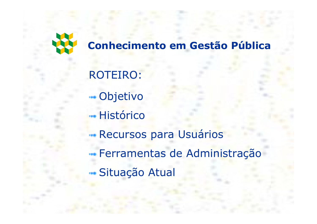

**ROTEIRO: --** Objetivo - Histórico **Recursos para Usuários** 

<del>···</del> Ferramentas de Administração

-Situação Atual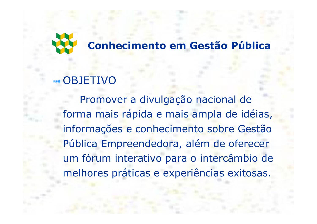

## **OBJETIVO**

Promover a divulgação nacional de forma mais rápida e mais ampla de idéias, informações e conhecimento sobre Gestão Pública Empreendedora, além de oferecer um fórum interativo para o intercâmbio de melhores práticas e experiências exitosas.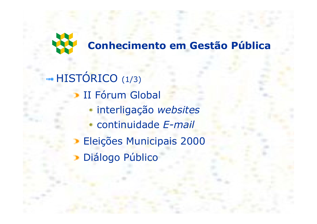

HISTÓRICO (1/3) **II Fórum Global** interligação websites continuidade E-mail **Eleições Municipais 2000** Diálogo Público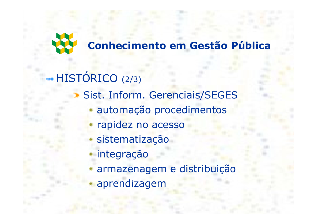

## HISTÓRICO (2/3) Sist. Inform. Gerenciais/SEGES automação procedimentos rapidez no acesso sistematização integração armazenagem e distribuição aprendizagem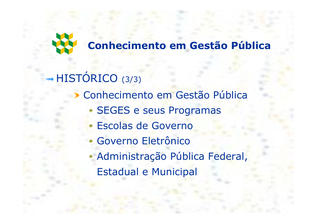

# HISTÓRICO (3/3)

- Conhecimento em Gestão Pública
	- **SEGES e seus Programas**
	- Escolas de Governo
	- Governo Eletrônico
	- Administração Pública Federal,
		- **Estadual e Municipal**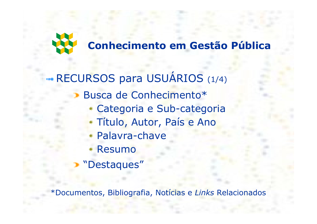

-RECURSOS para USUÁRIOS (1/4) Busca de Conhecimento\* Categoria e Sub-categoria Título, Autor, País e Ano Palavra-chave Resumo "Destaques"

\*Documentos, Bibliografia, Notícias e Links Relacionados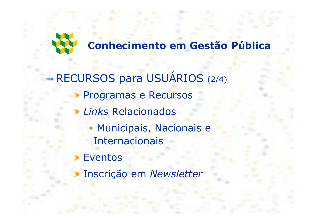

-RECURSOS para USUÁRIOS (2/4) Programas e Recursos Links Relacionados • Municipais, Nacionais e **Internacionais Eventos** 

Inscrição em Newsletter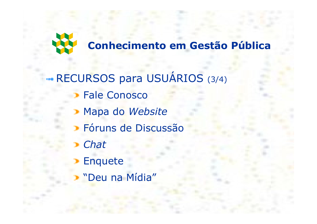

# RECURSOS para USUÁRIOS (3/4) **Fale Conosco** Mapa do Website

- > Fóruns de Discussão
- Chat
- **Enquete**
- "Deu na Mídia"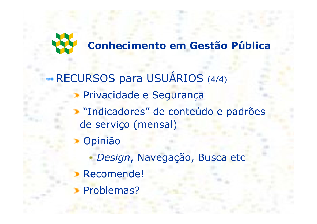

-RECURSOS para USUÁRIOS (4/4) Privacidade e Segurança "Indicadores" de conteúdo e padrões de serviço (mensal) Opinião Design, Navegação, Busca etc Recomende! Problemas?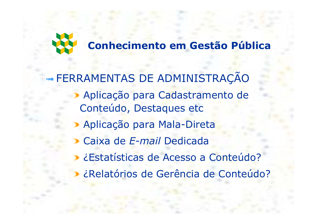

## - FERRAMENTAS DE ADMINISTRAÇÃO Aplicação para Cadastramento de Conteúdo, Destaques etc Aplicação para Mala-Direta Caixa de E-mail Dedicada ¿Estatísticas de Acesso a Conteúdo? ¿Relatórios de Gerência de Conteúdo?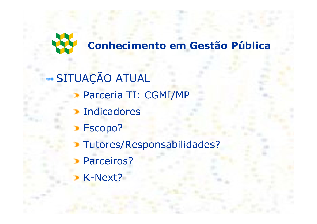

## -SITUAÇÃO ATUAL

- Parceria TI: CGMI/MP
- **Indicadores**
- Escopo?
- Tutores/Responsabilidades?
- Parceiros?
- K-Next?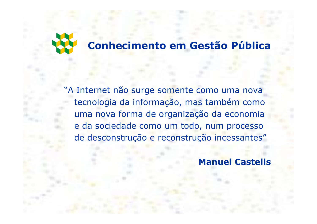

"A Internet não surge somente como uma nova tecnologia da informação, mas também como uma nova forma de organização da economia e da sociedade como um todo, num processo de desconstrução e reconstrução incessantes"

**Manuel Castells**